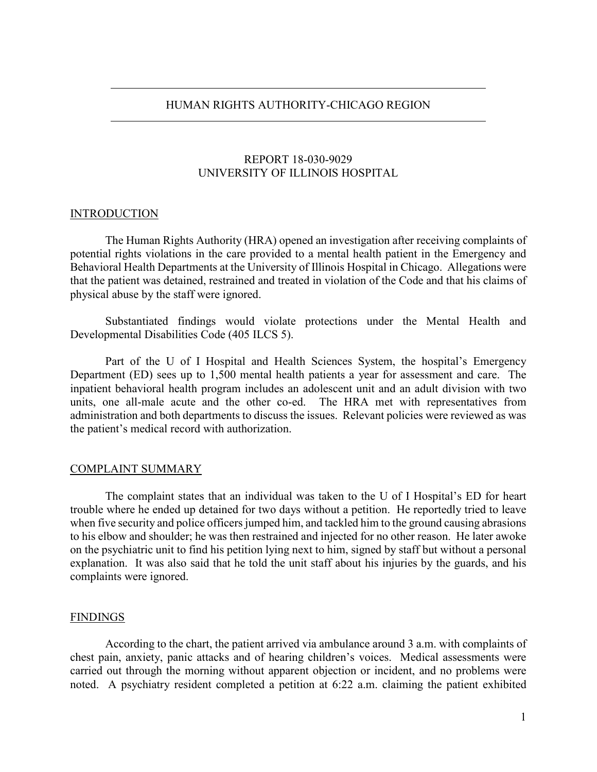### HUMAN RIGHTS AUTHORITY-CHICAGO REGION

## REPORT 18-030-9029 UNIVERSITY OF ILLINOIS HOSPITAL

#### INTRODUCTION

The Human Rights Authority (HRA) opened an investigation after receiving complaints of potential rights violations in the care provided to a mental health patient in the Emergency and Behavioral Health Departments at the University of Illinois Hospital in Chicago. Allegations were that the patient was detained, restrained and treated in violation of the Code and that his claims of physical abuse by the staff were ignored.

Substantiated findings would violate protections under the Mental Health and Developmental Disabilities Code (405 ILCS 5).

Part of the U of I Hospital and Health Sciences System, the hospital's Emergency Department (ED) sees up to 1,500 mental health patients a year for assessment and care. The inpatient behavioral health program includes an adolescent unit and an adult division with two units, one all-male acute and the other co-ed. The HRA met with representatives from administration and both departments to discuss the issues. Relevant policies were reviewed as was the patient's medical record with authorization.

### COMPLAINT SUMMARY

The complaint states that an individual was taken to the U of I Hospital's ED for heart trouble where he ended up detained for two days without a petition. He reportedly tried to leave when five security and police officers jumped him, and tackled him to the ground causing abrasions to his elbow and shoulder; he was then restrained and injected for no other reason. He later awoke on the psychiatric unit to find his petition lying next to him, signed by staff but without a personal explanation. It was also said that he told the unit staff about his injuries by the guards, and his complaints were ignored.

#### FINDINGS

According to the chart, the patient arrived via ambulance around 3 a.m. with complaints of chest pain, anxiety, panic attacks and of hearing children's voices. Medical assessments were carried out through the morning without apparent objection or incident, and no problems were noted. A psychiatry resident completed a petition at 6:22 a.m. claiming the patient exhibited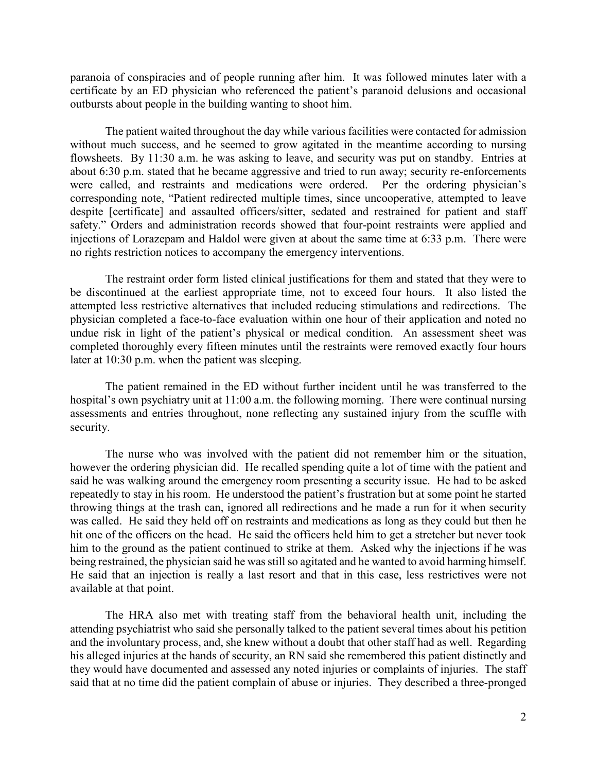paranoia of conspiracies and of people running after him. It was followed minutes later with a certificate by an ED physician who referenced the patient's paranoid delusions and occasional outbursts about people in the building wanting to shoot him.

The patient waited throughout the day while various facilities were contacted for admission without much success, and he seemed to grow agitated in the meantime according to nursing flowsheets. By 11:30 a.m. he was asking to leave, and security was put on standby. Entries at about 6:30 p.m. stated that he became aggressive and tried to run away; security re-enforcements were called, and restraints and medications were ordered. Per the ordering physician's corresponding note, "Patient redirected multiple times, since uncooperative, attempted to leave despite [certificate] and assaulted officers/sitter, sedated and restrained for patient and staff safety." Orders and administration records showed that four-point restraints were applied and injections of Lorazepam and Haldol were given at about the same time at 6:33 p.m. There were no rights restriction notices to accompany the emergency interventions.

The restraint order form listed clinical justifications for them and stated that they were to be discontinued at the earliest appropriate time, not to exceed four hours. It also listed the attempted less restrictive alternatives that included reducing stimulations and redirections. The physician completed a face-to-face evaluation within one hour of their application and noted no undue risk in light of the patient's physical or medical condition. An assessment sheet was completed thoroughly every fifteen minutes until the restraints were removed exactly four hours later at 10:30 p.m. when the patient was sleeping.

The patient remained in the ED without further incident until he was transferred to the hospital's own psychiatry unit at 11:00 a.m. the following morning. There were continual nursing assessments and entries throughout, none reflecting any sustained injury from the scuffle with security.

The nurse who was involved with the patient did not remember him or the situation, however the ordering physician did. He recalled spending quite a lot of time with the patient and said he was walking around the emergency room presenting a security issue. He had to be asked repeatedly to stay in his room. He understood the patient's frustration but at some point he started throwing things at the trash can, ignored all redirections and he made a run for it when security was called. He said they held off on restraints and medications as long as they could but then he hit one of the officers on the head. He said the officers held him to get a stretcher but never took him to the ground as the patient continued to strike at them. Asked why the injections if he was being restrained, the physician said he was still so agitated and he wanted to avoid harming himself. He said that an injection is really a last resort and that in this case, less restrictives were not available at that point.

The HRA also met with treating staff from the behavioral health unit, including the attending psychiatrist who said she personally talked to the patient several times about his petition and the involuntary process, and, she knew without a doubt that other staff had as well. Regarding his alleged injuries at the hands of security, an RN said she remembered this patient distinctly and they would have documented and assessed any noted injuries or complaints of injuries. The staff said that at no time did the patient complain of abuse or injuries. They described a three-pronged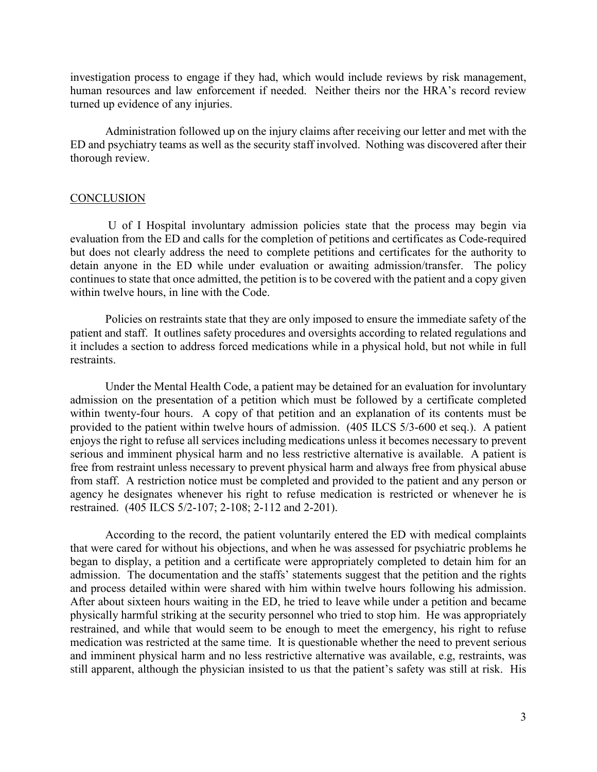investigation process to engage if they had, which would include reviews by risk management, human resources and law enforcement if needed. Neither theirs nor the HRA's record review turned up evidence of any injuries.

Administration followed up on the injury claims after receiving our letter and met with the ED and psychiatry teams as well as the security staff involved. Nothing was discovered after their thorough review.

#### **CONCLUSION**

U of I Hospital involuntary admission policies state that the process may begin via evaluation from the ED and calls for the completion of petitions and certificates as Code-required but does not clearly address the need to complete petitions and certificates for the authority to detain anyone in the ED while under evaluation or awaiting admission/transfer. The policy continues to state that once admitted, the petition is to be covered with the patient and a copy given within twelve hours, in line with the Code.

Policies on restraints state that they are only imposed to ensure the immediate safety of the patient and staff. It outlines safety procedures and oversights according to related regulations and it includes a section to address forced medications while in a physical hold, but not while in full restraints.

Under the Mental Health Code, a patient may be detained for an evaluation for involuntary admission on the presentation of a petition which must be followed by a certificate completed within twenty-four hours. A copy of that petition and an explanation of its contents must be provided to the patient within twelve hours of admission. (405 ILCS 5/3-600 et seq.). A patient enjoys the right to refuse all services including medications unless it becomes necessary to prevent serious and imminent physical harm and no less restrictive alternative is available. A patient is free from restraint unless necessary to prevent physical harm and always free from physical abuse from staff. A restriction notice must be completed and provided to the patient and any person or agency he designates whenever his right to refuse medication is restricted or whenever he is restrained. (405 ILCS 5/2-107; 2-108; 2-112 and 2-201).

According to the record, the patient voluntarily entered the ED with medical complaints that were cared for without his objections, and when he was assessed for psychiatric problems he began to display, a petition and a certificate were appropriately completed to detain him for an admission. The documentation and the staffs' statements suggest that the petition and the rights and process detailed within were shared with him within twelve hours following his admission. After about sixteen hours waiting in the ED, he tried to leave while under a petition and became physically harmful striking at the security personnel who tried to stop him. He was appropriately restrained, and while that would seem to be enough to meet the emergency, his right to refuse medication was restricted at the same time. It is questionable whether the need to prevent serious and imminent physical harm and no less restrictive alternative was available, e.g, restraints, was still apparent, although the physician insisted to us that the patient's safety was still at risk. His